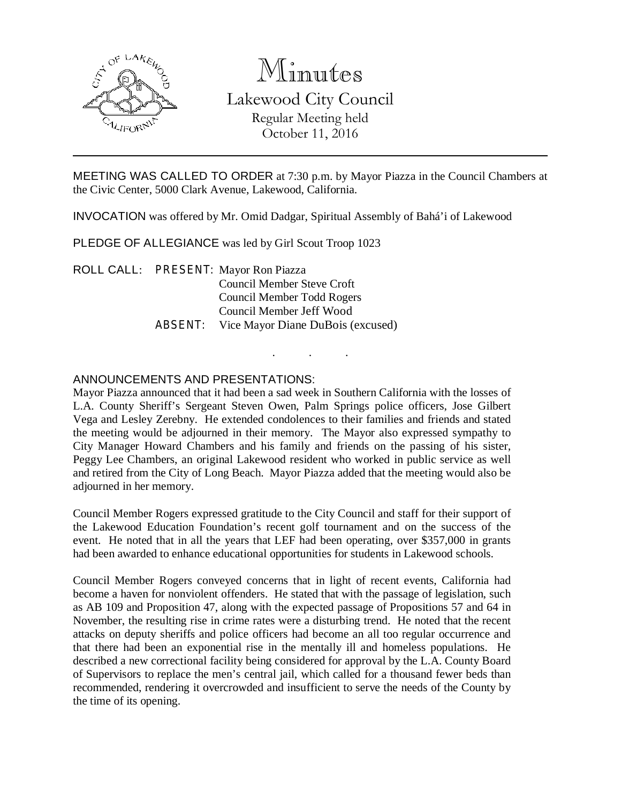

# Minutes Lakewood City Council Regular Meeting held October 11, 2016

MEETING WAS CALLED TO ORDER at 7:30 p.m. by Mayor Piazza in the Council Chambers at the Civic Center, 5000 Clark Avenue, Lakewood, California.

INVOCATION was offered by Mr. Omid Dadgar, Spiritual Assembly of Bahá'i of Lakewood

PLEDGE OF ALLEGIANCE was led by Girl Scout Troop 1023

ROLL CALL: PRESENT: Mayor Ron Piazza Council Member Steve Croft Council Member Todd Rogers Council Member Jeff Wood ABSENT: Vice Mayor Diane DuBois (excused)

## ANNOUNCEMENTS AND PRESENTATIONS:

Mayor Piazza announced that it had been a sad week in Southern California with the losses of L.A. County Sheriff's Sergeant Steven Owen, Palm Springs police officers, Jose Gilbert Vega and Lesley Zerebny. He extended condolences to their families and friends and stated the meeting would be adjourned in their memory. The Mayor also expressed sympathy to City Manager Howard Chambers and his family and friends on the passing of his sister, Peggy Lee Chambers, an original Lakewood resident who worked in public service as well and retired from the City of Long Beach. Mayor Piazza added that the meeting would also be adjourned in her memory.

. . .

Council Member Rogers expressed gratitude to the City Council and staff for their support of the Lakewood Education Foundation's recent golf tournament and on the success of the event. He noted that in all the years that LEF had been operating, over \$357,000 in grants had been awarded to enhance educational opportunities for students in Lakewood schools.

Council Member Rogers conveyed concerns that in light of recent events, California had become a haven for nonviolent offenders. He stated that with the passage of legislation, such as AB 109 and Proposition 47, along with the expected passage of Propositions 57 and 64 in November, the resulting rise in crime rates were a disturbing trend. He noted that the recent attacks on deputy sheriffs and police officers had become an all too regular occurrence and that there had been an exponential rise in the mentally ill and homeless populations. He described a new correctional facility being considered for approval by the L.A. County Board of Supervisors to replace the men's central jail, which called for a thousand fewer beds than recommended, rendering it overcrowded and insufficient to serve the needs of the County by the time of its opening.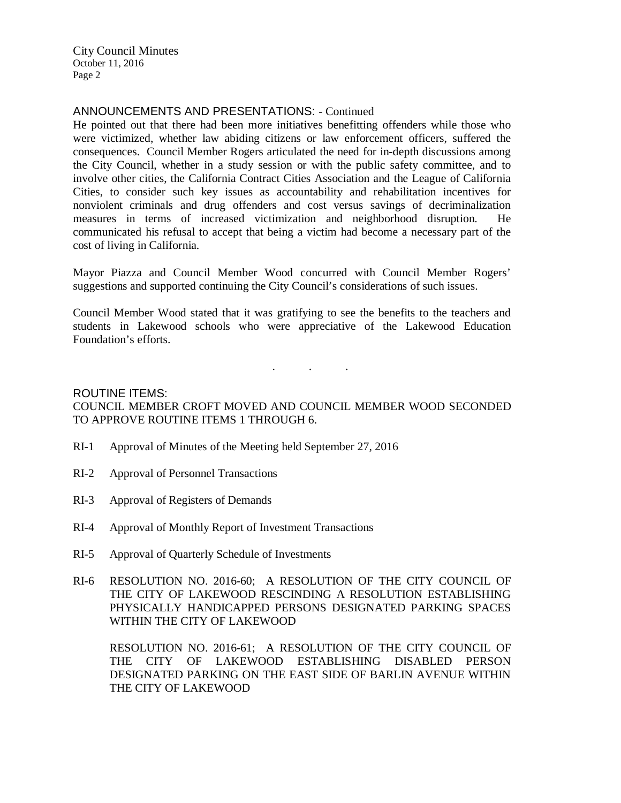### ANNOUNCEMENTS AND PRESENTATIONS: - Continued

He pointed out that there had been more initiatives benefitting offenders while those who were victimized, whether law abiding citizens or law enforcement officers, suffered the consequences. Council Member Rogers articulated the need for in-depth discussions among the City Council, whether in a study session or with the public safety committee, and to involve other cities, the California Contract Cities Association and the League of California Cities, to consider such key issues as accountability and rehabilitation incentives for nonviolent criminals and drug offenders and cost versus savings of decriminalization measures in terms of increased victimization and neighborhood disruption. He communicated his refusal to accept that being a victim had become a necessary part of the cost of living in California.

Mayor Piazza and Council Member Wood concurred with Council Member Rogers' suggestions and supported continuing the City Council's considerations of such issues.

Council Member Wood stated that it was gratifying to see the benefits to the teachers and students in Lakewood schools who were appreciative of the Lakewood Education Foundation's efforts.

# ROUTINE ITEMS: COUNCIL MEMBER CROFT MOVED AND COUNCIL MEMBER WOOD SECONDED TO APPROVE ROUTINE ITEMS 1 THROUGH 6.

. . .

- RI-1 Approval of Minutes of the Meeting held September 27, 2016
- RI-2 Approval of Personnel Transactions
- RI-3 Approval of Registers of Demands
- RI-4 Approval of Monthly Report of Investment Transactions
- RI-5 Approval of Quarterly Schedule of Investments
- RI-6 RESOLUTION NO. 2016-60; A RESOLUTION OF THE CITY COUNCIL OF THE CITY OF LAKEWOOD RESCINDING A RESOLUTION ESTABLISHING PHYSICALLY HANDICAPPED PERSONS DESIGNATED PARKING SPACES WITHIN THE CITY OF LAKEWOOD

RESOLUTION NO. 2016-61; A RESOLUTION OF THE CITY COUNCIL OF THE CITY OF LAKEWOOD ESTABLISHING DISABLED PERSON DESIGNATED PARKING ON THE EAST SIDE OF BARLIN AVENUE WITHIN THE CITY OF LAKEWOOD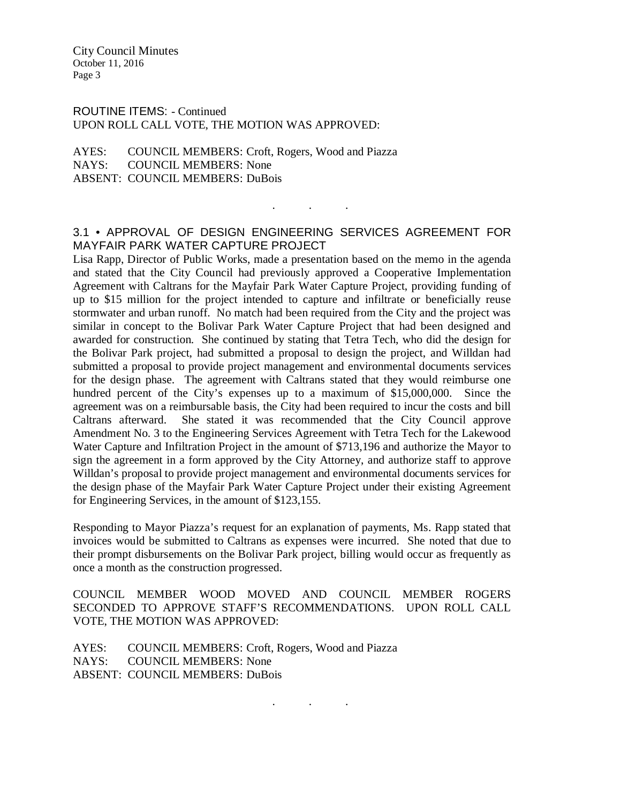ROUTINE ITEMS: - Continued UPON ROLL CALL VOTE, THE MOTION WAS APPROVED:

AYES: COUNCIL MEMBERS: Croft, Rogers, Wood and Piazza NAYS: COUNCIL MEMBERS: None ABSENT: COUNCIL MEMBERS: DuBois

## 3.1 • APPROVAL OF DESIGN ENGINEERING SERVICES AGREEMENT FOR MAYFAIR PARK WATER CAPTURE PROJECT

. As we have a set of  $\mathcal{A}$  , and  $\mathcal{A}$ 

Lisa Rapp, Director of Public Works, made a presentation based on the memo in the agenda and stated that the City Council had previously approved a Cooperative Implementation Agreement with Caltrans for the Mayfair Park Water Capture Project, providing funding of up to \$15 million for the project intended to capture and infiltrate or beneficially reuse stormwater and urban runoff. No match had been required from the City and the project was similar in concept to the Bolivar Park Water Capture Project that had been designed and awarded for construction. She continued by stating that Tetra Tech, who did the design for the Bolivar Park project, had submitted a proposal to design the project, and Willdan had submitted a proposal to provide project management and environmental documents services for the design phase. The agreement with Caltrans stated that they would reimburse one hundred percent of the City's expenses up to a maximum of \$15,000,000. Since the agreement was on a reimbursable basis, the City had been required to incur the costs and bill Caltrans afterward. She stated it was recommended that the City Council approve Amendment No. 3 to the Engineering Services Agreement with Tetra Tech for the Lakewood Water Capture and Infiltration Project in the amount of \$713,196 and authorize the Mayor to sign the agreement in a form approved by the City Attorney, and authorize staff to approve Willdan's proposal to provide project management and environmental documents services for the design phase of the Mayfair Park Water Capture Project under their existing Agreement for Engineering Services, in the amount of \$123,155.

Responding to Mayor Piazza's request for an explanation of payments, Ms. Rapp stated that invoices would be submitted to Caltrans as expenses were incurred. She noted that due to their prompt disbursements on the Bolivar Park project, billing would occur as frequently as once a month as the construction progressed.

COUNCIL MEMBER WOOD MOVED AND COUNCIL MEMBER ROGERS SECONDED TO APPROVE STAFF'S RECOMMENDATIONS. UPON ROLL CALL VOTE, THE MOTION WAS APPROVED:

. . .

AYES: COUNCIL MEMBERS: Croft, Rogers, Wood and Piazza NAYS: COUNCIL MEMBERS: None ABSENT: COUNCIL MEMBERS: DuBois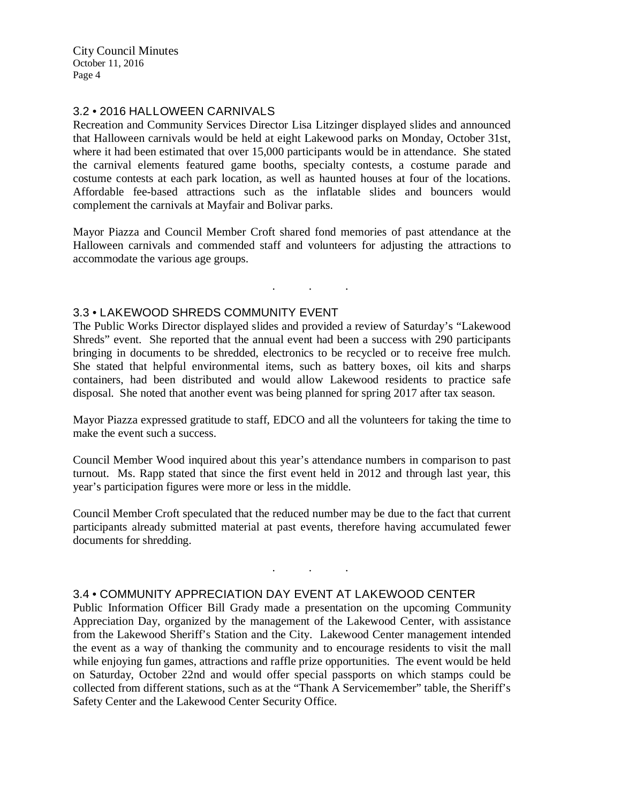### 3.2 • 2016 HALLOWEEN CARNIVALS

Recreation and Community Services Director Lisa Litzinger displayed slides and announced that Halloween carnivals would be held at eight Lakewood parks on Monday, October 31st, where it had been estimated that over 15,000 participants would be in attendance. She stated the carnival elements featured game booths, specialty contests, a costume parade and costume contests at each park location, as well as haunted houses at four of the locations. Affordable fee-based attractions such as the inflatable slides and bouncers would complement the carnivals at Mayfair and Bolivar parks.

Mayor Piazza and Council Member Croft shared fond memories of past attendance at the Halloween carnivals and commended staff and volunteers for adjusting the attractions to accommodate the various age groups.

. . .

#### 3.3 • LAKEWOOD SHREDS COMMUNITY EVENT

The Public Works Director displayed slides and provided a review of Saturday's "Lakewood Shreds" event. She reported that the annual event had been a success with 290 participants bringing in documents to be shredded, electronics to be recycled or to receive free mulch. She stated that helpful environmental items, such as battery boxes, oil kits and sharps containers, had been distributed and would allow Lakewood residents to practice safe disposal. She noted that another event was being planned for spring 2017 after tax season.

Mayor Piazza expressed gratitude to staff, EDCO and all the volunteers for taking the time to make the event such a success.

Council Member Wood inquired about this year's attendance numbers in comparison to past turnout. Ms. Rapp stated that since the first event held in 2012 and through last year, this year's participation figures were more or less in the middle.

Council Member Croft speculated that the reduced number may be due to the fact that current participants already submitted material at past events, therefore having accumulated fewer documents for shredding.

. . .

#### 3.4 • COMMUNITY APPRECIATION DAY EVENT AT LAKEWOOD CENTER

Public Information Officer Bill Grady made a presentation on the upcoming Community Appreciation Day, organized by the management of the Lakewood Center, with assistance from the Lakewood Sheriff's Station and the City. Lakewood Center management intended the event as a way of thanking the community and to encourage residents to visit the mall while enjoying fun games, attractions and raffle prize opportunities. The event would be held on Saturday, October 22nd and would offer special passports on which stamps could be collected from different stations, such as at the "Thank A Servicemember" table, the Sheriff's Safety Center and the Lakewood Center Security Office.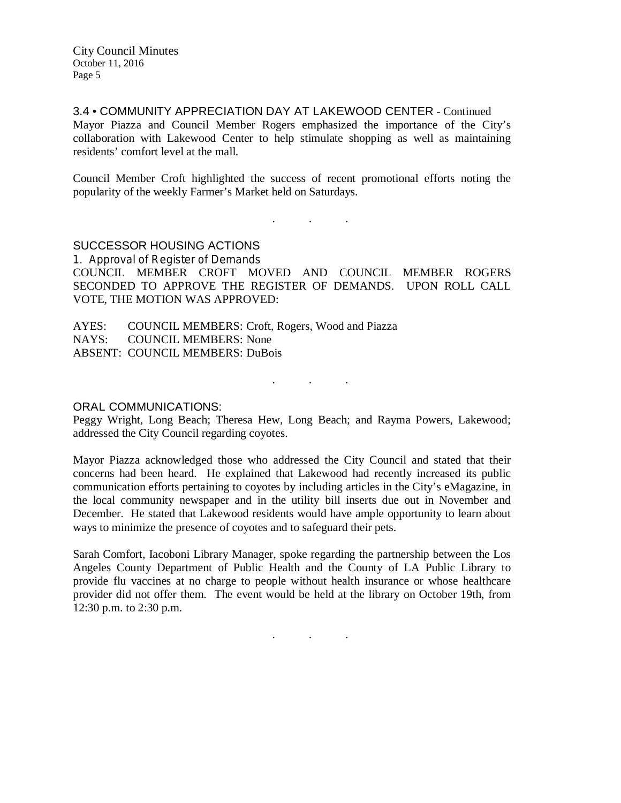3.4 • COMMUNITY APPRECIATION DAY AT LAKEWOOD CENTER - Continued Mayor Piazza and Council Member Rogers emphasized the importance of the City's collaboration with Lakewood Center to help stimulate shopping as well as maintaining residents' comfort level at the mall.

Council Member Croft highlighted the success of recent promotional efforts noting the popularity of the weekly Farmer's Market held on Saturdays.

. . .

## SUCCESSOR HOUSING ACTIONS

1. Approval of Register of Demands COUNCIL MEMBER CROFT MOVED AND COUNCIL MEMBER ROGERS SECONDED TO APPROVE THE REGISTER OF DEMANDS. UPON ROLL CALL VOTE, THE MOTION WAS APPROVED:

AYES: COUNCIL MEMBERS: Croft, Rogers, Wood and Piazza NAYS: COUNCIL MEMBERS: None ABSENT: COUNCIL MEMBERS: DuBois

. . .

#### ORAL COMMUNICATIONS:

Peggy Wright, Long Beach; Theresa Hew, Long Beach; and Rayma Powers, Lakewood; addressed the City Council regarding coyotes.

Mayor Piazza acknowledged those who addressed the City Council and stated that their concerns had been heard. He explained that Lakewood had recently increased its public communication efforts pertaining to coyotes by including articles in the City's eMagazine, in the local community newspaper and in the utility bill inserts due out in November and December. He stated that Lakewood residents would have ample opportunity to learn about ways to minimize the presence of coyotes and to safeguard their pets.

Sarah Comfort, Iacoboni Library Manager, spoke regarding the partnership between the Los Angeles County Department of Public Health and the County of LA Public Library to provide flu vaccines at no charge to people without health insurance or whose healthcare provider did not offer them. The event would be held at the library on October 19th, from 12:30 p.m. to 2:30 p.m.

. . .